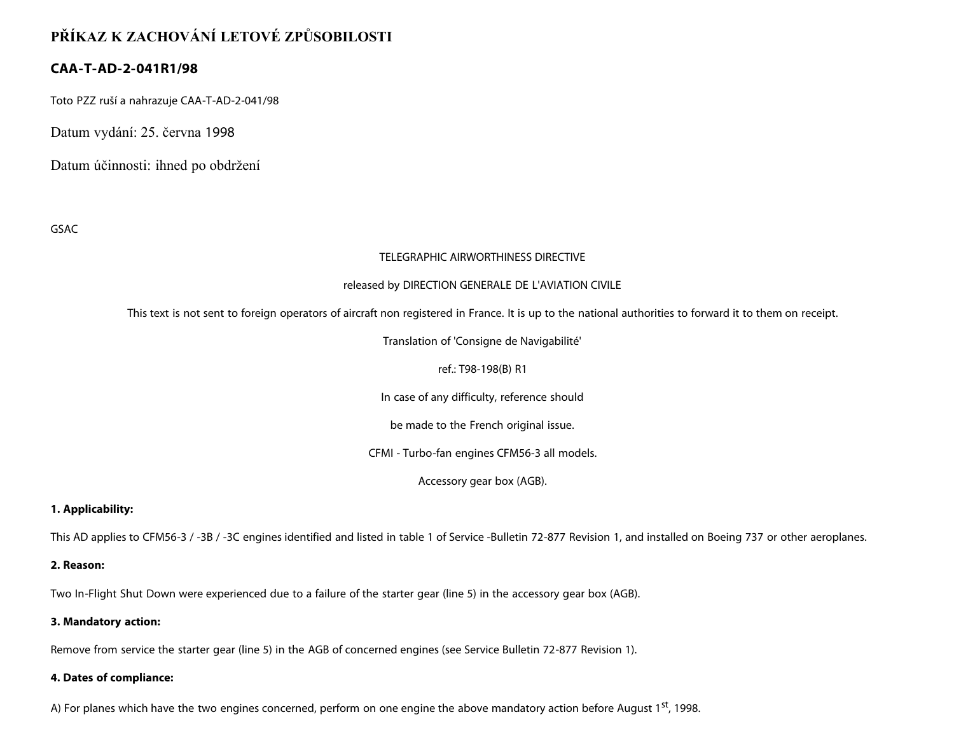# **PŘÍKAZ K ZACHOVÁNÍ LETOVÉ ZPŮSOBILOSTI**

# **CAA-T-AD-2-041R1/98**

Toto PZZ ruší a nahrazuje CAA-T-AD-2-041/98

Datum vydání: 25. června 1998

Datum účinnosti: ihned po obdržení

GSAC

# TELEGRAPHIC AIRWORTHINESS DIRECTIVE

## released by DIRECTION GENERALE DE L'AVIATION CIVILE

This text is not sent to foreign operators of aircraft non registered in France. It is up to the national authorities to forward it to them on receipt.

Translation of 'Consigne de Navigabilité'

# ref.: T98-198(B) R1

In case of any difficulty, reference should

be made to the French original issue.

CFMI - Turbo-fan engines CFM56-3 all models.

Accessory gear box (AGB).

**1. Applicability:**

This AD applies to CFM56-3 / -3B / -3C engines identified and listed in table 1 of Service -Bulletin 72-877 Revision 1, and installed on Boeing 737 or other aeroplanes.

## **2. Reason:**

Two In-Flight Shut Down were experienced due to a failure of the starter gear (line 5) in the accessory gear box (AGB).

## **3. Mandatory action:**

Remove from service the starter gear (line 5) in the AGB of concerned engines (see Service Bulletin 72-877 Revision 1).

## **4. Dates of compliance:**

A) For planes which have the two engines concerned, perform on one engine the above mandatory action before August 1<sup>st</sup>, 1998.